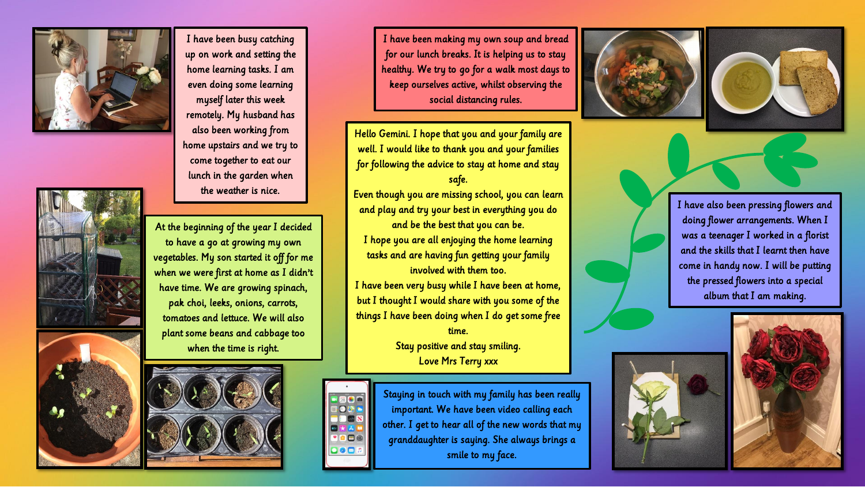

I have been busy catching up on work and setting the home learning tasks. I am even doing some learning myself later this week remotely. My husband has also been working from home upstairs and we try to come together to eat our lunch in the garden when the weather is nice.



At the beginning of the year I decided to have a go at growing my own vegetables. My son started it off for me when we were first at home as I didn't have time. We are growing spinach, pak choi, leeks, onions, carrots, tomatoes and lettuce. We will also plant some beans and cabbage too when the time is right.



I have been making my own soup and bread for our lunch breaks. It is helping us to stay healthy. We try to go for a walk most days to keep ourselves active, whilst observing the social distancing rules.

Hello Gemini. I hope that you and your family are well. I would like to thank you and your families for following the advice to stay at home and stay safe. Even though you are missing school, you can learn

and play and try your best in everything you do and be the best that you can be. I hope you are all enjoying the home learning tasks and are having fun getting your family involved with them too.

I have been very busy while I have been at home, but I thought I would share with you some of the things I have been doing when I do get some free time. Stay positive and stay smiling.

Love Mrs Terry xxx



Staying in touch with my family has been really important. We have been video calling each other. I get to hear all of the new words that my granddaughter is saying. She always brings a smile to my face.





I have also been pressing flowers and doing flower arrangements. When I was a teenager I worked in a florist and the skills that I learnt then have come in handy now. I will be putting the pressed flowers into a special album that I am making.